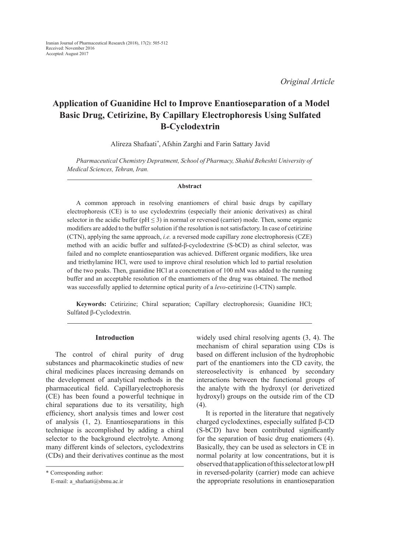*Original Article*

# **Application of Guanidine Hcl to Improve Enantioseparation of a Model Basic Drug, Cetirizine, By Capillary Electrophoresis Using Sulfated Β-Cyclodextrin**

Alireza Shafaati*\** , Afshin Zarghi and Farin Sattary Javid

*Pharmaceutical Chemistry Depratment, School of Pharmacy, Shahid Beheshti University of Medical Sciences, Tehran, Iran.*

#### **Abstract**

A common approach in resolving enantiomers of chiral basic drugs by capillary electrophoresis (CE) is to use cyclodextrins (especially their anionic derivatives) as chiral selector in the acidic buffer ( $pH \le 3$ ) in normal or reversed (carrier) mode. Then, some organic modifiers are added to the buffer solution if the resolution is not satisfactory. In case of cetirizine (CTN), applying the same approach, *i.e.* a reversed mode capillary zone electrophoresis (CZE) method with an acidic buffer and sulfated-β-cyclodextrine (S-bCD) as chiral selector, was failed and no complete enantioseparation was achieved. Different organic modifiers, like urea and triethylamine HCl, were used to improve chiral resolution which led to partial resolution of the two peaks. Then, guanidine HCl at a concnetration of 100 mM was added to the running buffer and an acceptable resolution of the enantiomers of the drug was obtained. The method was successfully applied to determine optical purity of a *levo*-cetirizine (l-CTN) sample.

**Keywords:** Cetirizine; Chiral separation; Capillary electrophoresis; Guanidine HCl; Sulfated β-Cyclodextrin.

#### **Introduction**

The control of chiral purity of drug substances and pharmacokinetic studies of new chiral medicines places increasing demands on the development of analytical methods in the pharmaceutical field. Capillaryelectrophoresis (CE) has been found a powerful technique in chiral separations due to its versatility, high efficiency, short analysis times and lower cost of analysis (1, 2). Enantioseparations in this technique is accomplished by adding a chiral selector to the background electrolyte. Among many different kinds of selectors, cyclodextrins (CDs) and their derivatives continue as the most

widely used chiral resolving agents (3, 4). The mechanism of chiral separation using CDs is based on different inclusion of the hydrophobic part of the enantiomers into the CD cavity, the stereoselectivity is enhanced by secondary interactions between the functional groups of the analyte with the hydroxyl (or derivetized hydroxyl) groups on the outside rim of the CD (4).

It is reported in the literature that negatively charged cyclodextines, especially sulfated β-CD (S-bCD) have been contributed significantly for the separation of basic drug enatiomers (4). Basically, they can be used as selectors in CE in normal polarity at low concentrations, but it is observed that application of this selector at low pH in reversed-polarity (carrier) mode can achieve the appropriate resolutions in enantioseparation

<sup>\*</sup> Corresponding author:

E-mail: a\_shafaati@sbmu.ac.ir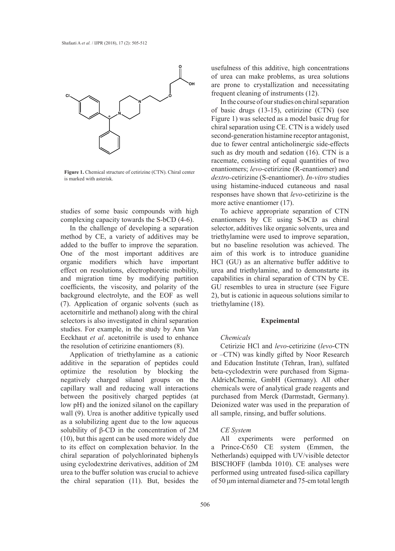

**Figure 1.** Chemical structure of cetirizine (CTN). Chiral center is marked with asterisk.

studies of some basic compounds with high complexing capacity towards the S-bCD (4-6).

In the challenge of developing a separation method by CE, a variety of additives may be added to the buffer to improve the separation. One of the most important additives are organic modifiers which have important effect on resolutions, electrophoretic mobility, and migration time by modifying partition coefficients, the viscosity, and polarity of the background electrolyte, and the EOF as well (7). Application of organic solvents (such as acetornitirle and methanol) along with the chiral selectors is also investigated in chiral separation studies. For example, in the study by Ann Van Eeckhaut *et al*. acetonitrile is used to enhance the resolution of cetirizine enantiomers (8).

> Application of triethylamine as a cationic additive in the separation of peptides could optimize the resolution by blocking the negatively charged silanol groups on the capillary wall and reducing wall interactions between the positively charged peptides (at low pH) and the ionized silanol on the capillary wall (9). Urea is another additive typically used as a solubilizing agent due to the low aqueous solubility of β-CD in the concentration of 2M (10), but this agent can be used more widely due to its effect on complexation behavior. In the chiral separation of polychlorinated biphenyls using cyclodextrine derivatives, addition of 2M urea to the buffer solution was crucial to achieve the chiral separation (11). But, besides the

usefulness of this additive, high concentrations of urea can make problems, as urea solutions are prone to crystallization and necessitating frequent cleaning of instruments (12).

In the course of our studies on chiral separation of basic drugs (13-15), cetirizine (CTN) (see Figure 1) was selected as a model basic drug for chiral separation using CE. CTN is a widely used second-generation histamine receptor antagonist, due to fewer central anticholinergic side-effects such as dry mouth and sedation (16). CTN is a racemate, consisting of equal quantities of two enantiomers; *levo*-cetirizine (R-enantiomer) and *dextro-*cetirizine (S-enantiomer). *In-vitro* studies using histamine-induced cutaneous and nasal responses have shown that *levo*-cetirizine is the more active enantiomer (17).

To achieve appropriate separation of CTN enantiomers by CE using S-bCD as chiral selector, additives like organic solvents, urea and triethylamine were used to improve separation, but no baseline resolution was achieved. The aim of this work is to introduce guanidine HCl (GU) as an alternative buffer additive to urea and triethylamine, and to demonstarte its capabilities in chiral separation of CTN by CE. GU resembles to urea in structure (see Figure 2), but is cationic in aqueous solutions similar to triethylamine (18).

## **Expeimental**

## *Chemicals*

Cetirizie HCl and *levo*-cetirizine (*levo*-CTN or –CTN) was kindly gifted by Noor Research and Education Institute (Tehran, Iran), sulfated beta-cyclodextrin were purchased from Sigma-AldrichChemie, GmbH (Germany). All other chemicals were of analytical grade reagents and purchased from Merck (Darmstadt, Germany). Deionized water was used in the preparation of all sample, rinsing, and buffer solutions.

## *CE System*

All experiments were performed on a Prince-C650 CE system (Emmen, the Netherlands) equipped with UV/visible detector BISCHOFF (lambda 1010). CE analyses were performed using untreated fused-silica capillary of 50 μm internal diameter and 75-cm total length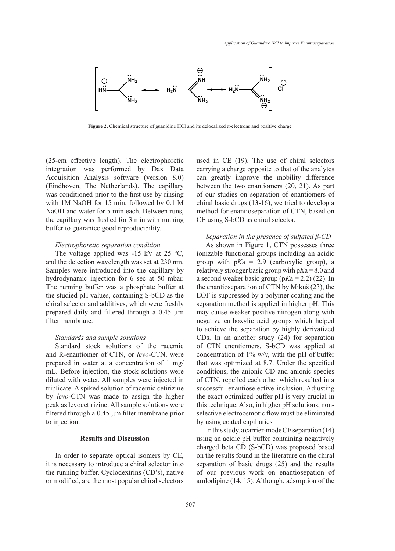

**Figure 2.** Chemical structure of guanidine HCl and its delocalized π-electrons and positive charge.

(25-cm effective length). The electrophoretic integration was performed by Dax Data Acquisition Analysis software (version 8.0) (Eindhoven, The Netherlands). The capillary was conditioned prior to the first use by rinsing with 1M NaOH for 15 min, followed by 0.1 M NaOH and water for 5 min each. Between runs, the capillary was flushed for 3 min with running buffer to guarantee good reproducibility.

## *Electrophoretic separation condition*

The voltage applied was  $-15$  kV at 25 °C, and the detection wavelength was set at 230 nm. Samples were introduced into the capillary by hydrodynamic injection for 6 sec at 50 mbar. The running buffer was a phosphate buffer at the studied pH values, containing S-bCD as the chiral selector and additives, which were freshly prepared daily and filtered through a 0.45 µm filter membrane.

#### *Standards and sample solutions*

Standard stock solutions of the racemic and R-enantiomer of CTN, or *levo*-CTN, were prepared in water at a concentration of 1 mg/ mL. Before injection, the stock solutions were diluted with water. All samples were injected in triplicate. A spiked solution of racemic cetirizine by *levo*-CTN was made to assign the higher peak as levocetirizine. All sample solutions were filtered through a 0.45 µm filter membrane prior to injection.

## **Results and Discussion**

In order to separate optical isomers by CE, it is necessary to introduce a chiral selector into the running buffer. Cyclodextrins (CD's), native or modified, are the most popular chiral selectors used in CE (19). The use of chiral selectors carrying a charge opposite to that of the analytes can greatly improve the mobility difference between the two enantiomers (20, 21). As part of our studies on separation of enantiomers of chiral basic drugs (13-16), we tried to develop a method for enantioseparation of CTN, based on CE using S-bCD as chiral selector.

## *Separation in the presence of sulfated β-CD*

As shown in Figure 1, CTN possesses three ionizable functional groups including an acidic group with p*K*a = 2.9 (carboxylic group), a relatively stronger basic group with p*K*a = 8.0 and a second weaker basic group (p*K*a = 2.2) (22). In the enantioseparation of CTN by Mikuš (23), the EOF is suppressed by a polymer coating and the separation method is applied in higher pH. This may cause weaker positive nitrogen along with negative carboxylic acid groups which helped to achieve the separation by highly derivatized CDs. In an another study (24) for separation of CTN enentiomers, S-bCD was applied at concentration of 1% w/v, with the pH of buffer that was optimized at 8.7. Under the specified conditions, the anionic CD and anionic species of CTN, repelled each other which resulted in a successful enantioselective inclusion. Adjusting the exact optimized buffer pH is very crucial in this technique. Also, in higher pH solutions, nonselective electroosmotic flow must be eliminated by using coated capillaries

In this study, a carrier-mode CE separation (14) using an acidic pH buffer containing negatively charged beta CD (S-bCD) was proposed based on the results found in the literature on the chiral separation of basic drugs (25) and the results of our previous work on enantiosepation of amlodipine (14, 15). Although, adsorption of the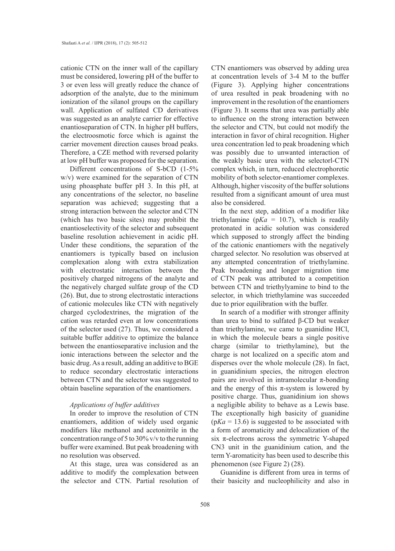cationic CTN on the inner wall of the capillary must be considered, lowering pH of the buffer to 3 or even less will greatly reduce the chance of adsorption of the analyte, due to the minimum ionization of the silanol groups on the capillary wall. Application of sulfated CD derivatives was suggested as an analyte carrier for effective enantioseparation of CTN. In higher pH buffers, the electroosmotic force which is against the carrier movement direction causes broad peaks. Therefore, a CZE method with reversed polarity at low pH buffer was proposed for the separation.

Different concentrations of S-bCD (1-5% w/v) were examined for the separation of CTN using phoasphate buffer pH 3. In this pH, at any concentrations of the selector, no baseline separation was achieved; suggesting that a strong interaction between the selector and CTN (which has two basic sites) may prohibit the enantioselectivity of the selector and subsequent baseline resolution achievement in acidic pH. Under these conditions, the separation of the enantiomers is typically based on inclusion complexation along with extra stabilization with electrostatic interaction between the positively charged nitrogens of the analyte and the negatively charged sulfate group of the CD (26). But, due to strong electrostatic interactions of cationic molecules like CTN with negatively charged cyclodextrines, the migration of the cation was retarded even at low concentrations of the selector used (27). Thus, we considered a suitable buffer additive to optimize the balance between the enantioseparative inclusion and the ionic interactions between the selector and the basic drug. As a result, adding an additive to BGE to reduce secondary electrostatic interactions between CTN and the selector was suggested to obtain baseline separation of the enantiomers.

## *Applications of buffer additives*

In oreder to improve the resolution of CTN enantiomers, addition of widely used organic modifiers like methanol and acetonitrile in the concentration range of 5 to 30% v/v to the running buffer were examined. But peak broadening with no resolution was observed.

At this stage, urea was considered as an additive to modify the complexation between the selector and CTN. Partial resolution of CTN enantiomers was observed by adding urea at concentration levels of 3-4 M to the buffer (Figure 3). Applying higher concentrations of urea resulted in peak broadening with no improvement in the resolution of the enantiomers (Figure 3). It seems that urea was partially able to influence on the strong interaction between the selector and CTN, but could not modify the interaction in favor of chiral recognition. Higher urea concentration led to peak broadening which was possibly due to unwanted interaction of the weakly basic urea with the selectorl-CTN complex which, in turn, reduced electrophoretic mobility of both selector-enantiomer complexes. Although, higher viscosity of the buffer solutions resulted from a significant amount of urea must also be considered.

In the next step, addition of a modifier like triethylamine ( $pKa = 10.7$ ), which is readily protonated in acidic solution was considered which supposed to strongly affect the binding of the cationic enantiomers with the negatively charged selector. No resolution was observed at any attempted concentration of triethylamine. Peak broadening and longer migration time of CTN peak was attributed to a competition between CTN and triethylyamine to bind to the selector, in which triethylamine was succeeded due to prior equilibration with the buffer.

In search of a modifier with stronger affinity than urea to bind to sulfated β-CD but weaker than triethylamine, we came to guanidine HCl, in which the molecule bears a single positive charge (similar to triethylamine), but the charge is not localized on a specific atom and disperses over the whole molecule (28). In fact, in guanidinium species, the nitrogen electron pairs are involved in intramolecular  $\pi$ -bonding and the energy of this  $\pi$ -system is lowered by positive charge. Thus, guanidinium ion shows a negligible ability to behave as a Lewis base. The exceptionally high basicity of guanidine  $(pKa = 13.6)$  is suggested to be associated with a form of aromaticity and delocalization of the six  $\pi$ -electrons across the symmetric Y-shaped CN3 unit in the guanidinium cation, and the term Y-aromaticity has been used to describe this phenomenon (see Figure 2) (28).

Guanidine is different from urea in terms of their basicity and nucleophilicity and also in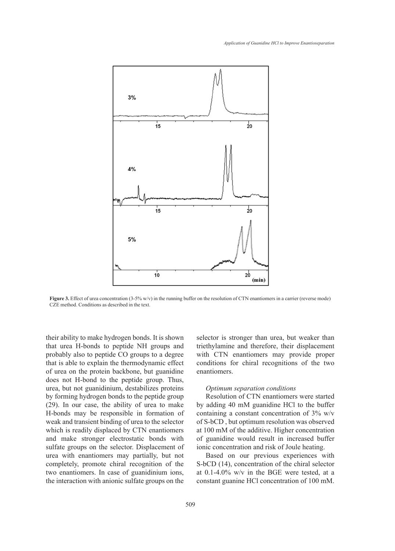

**Figure 3.** Effect of urea concentration (3-5% w/v) in the running buffer on the resolution of CTN enantiomers in a carrier (reverse mode) CZE method. Conditions as described in the text.

their ability to make hydrogen bonds. It is shown that urea H-bonds to peptide NH groups and probably also to peptide CO groups to a degree that is able to explain the thermodynamic effect of urea on the protein backbone, but guanidine does not H-bond to the peptide group. Thus, urea, but not guanidinium, destabilizes proteins by forming hydrogen bonds to the peptide group (29). In our case, the ability of urea to make H-bonds may be responsible in formation of weak and transient binding of urea to the selector which is readily displaced by CTN enantiomers and make stronger electrostatic bonds with sulfate groups on the selector. Displacement of urea with enantiomers may partially, but not completely, promote chiral recognition of the two enantiomers. In case of guanidinium ions, the interaction with anionic sulfate groups on the selector is stronger than urea, but weaker than triethylamine and therefore, their displacement with CTN enantiomers may provide proper conditions for chiral recognitions of the two enantiomers.

#### *Optimum separation conditions*

Resolution of CTN enantiomers were started by adding 40 mM guanidine HCl to the buffer containing a constant concentration of 3% w/v of S-bCD , but optimum resolution was observed at 100 mM of the additive. Higher concentration of guanidine would result in increased buffer ionic concentration and risk of Joule heating.

Based on our previous experiences with S-bCD (14), concentration of the chiral selector at 0.1-4.0% w/v in the BGE were tested, at a constant guanine HCl concentration of 100 mM.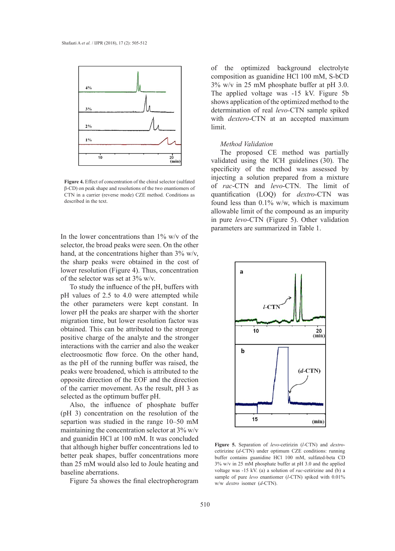

explorations of the two enantiomers of CTN in a carrier (reverse mode) CZE method. Conditions as quantification (LOQ) for described in the text. β-CD) on peak shape and resolutions of the two enantiomers of

In the lower concentrations than  $1\%$  w/v of the pH, buffers with pH, buffers in these  $\frac{1}{2}$ . selector, the broad peaks were seen. On the other hand, at the concentrations higher than  $3\%$  w/v, the sharp peaks were obtained in the cost of lower resolution (Figure 4). Thus, concentration  $\begin{bmatrix} a \\ b \end{bmatrix}$ of the selector was set at  $3\%$  w/v.

To study the influence of the pH, buffers with  $\blacksquare$ pH values of 2.5 to 4.0 were attempted while the other parameters were kept constant. In lower pH the peaks are sharper with the shorter migration time, but lower resolution factor was obtained. This can be attributed to the stronger positive charge of the analyte and the stronger interactions with the carrier and also the weaker electroosmotic flow force. On the other hand, as the pH of the running buffer was raised, the peaks were broadened, which is attributed to the opposite direction of the EOF and the direction of the carrier movement. As the result, pH 3 as selected as the optimum buffer pH.

Also, the influence of phosphate buffer (pH 3) concentration on the resolution of the separtion was studied in the range 10–50 mM maintaining the concentration selector at 3% w/v and guanidin HCl at 100 mM. It was concluded that although higher buffer concentrations led to better peak shapes, buffer concentrations more than 25 mM would also led to Joule heating and baseline aberrations.

Figure 5a showes the final electropherogram

of the optimized background electrolyte  $\frac{1}{2}$  composition as guanidine HCl 100 mM, S-bCD  $3\%$  w/v in 25 mM phosphate buffer at pH 3.0. The applied voltage was -15 kV. Figure 5b shows application of the optimized method to the determination of real *levo-*CTN sample spiked with *dextero*-CTN at an accepted maximum with *dextero*-CTN at an accepted maximum limit.

## *Method Validation*<br>concentrations more than 25 would also better peak shapes.

The proposed CE method was partially The proposed CE memod was partially<br>validated using the ICH guidelines (30). The specificity of the method was assessed by injecting a solution prepared from a mixture of *rac*-CTN and *levo*-CTN. The limit of quantification (LOQ) for *dextro*-CTN was found less than  $0.1\%$  w/w, which is maximum allowable limit of the compound as an impurity in pure *levo*-CTN (Figure 5). Other validation parameters are summarized in Table 1. **Figure 4.** Effect of concentration of the chiral selector (sulfated -C<sub>D</sub>) on performance and and performance and and concentration of the chiral selector (sulfated -C<sub>D</sub>) on performance and and concentration of the chira



**Figure 5.** Separation of *levo*-cetirizin (*l*-CTN) and *dextro*buffer contains guanidine HCl 100 mM, sulfated-beta CD  $\frac{3}{8}$  w/v  $\frac{1}{2}$  and  $\frac{1}{2}$  w/v  $\frac{3}{2}$  and  $\frac{1}{2}$  w/v  $\frac{3}{2}$  and  $\frac{1}{2}$  w/v  $\frac{3}{2}$  and  $\frac{1}{2}$  w/v  $\frac{3}{2}$  and  $\frac{1}{2}$  w/v  $\frac{3}{2}$  an voltage was -15 kV. (a) a solution of *rac*-cetirizine and (b) a<br>somple of pure *lave* apprisoner (*l* CTN) spiked with 0.01% *rextro* 1somer (*d*-CTN). cetirizine (*d*-CTN) under optimum CZE conditions: running 3% w/v in 25 mM phosphate buffer at pH 3.0 and the applied sample of pure *levo* enantiomer (*l*-CTN) spiked with 0.01% w/w *dextro* isomer (*d*-CTN).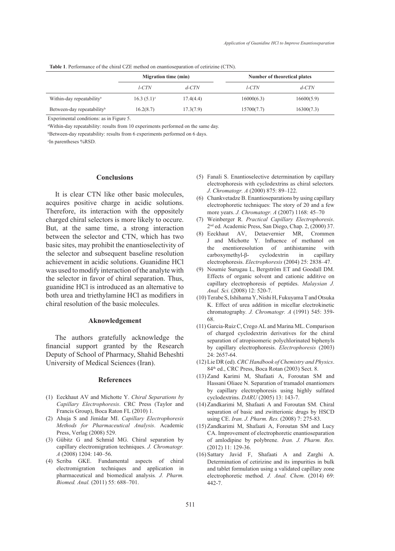|  |  |  |  | <b>Table 1.</b> Performance of the chiral CZE method on enantioseparation of cetirizine (CTN). |  |  |  |
|--|--|--|--|------------------------------------------------------------------------------------------------|--|--|--|
|--|--|--|--|------------------------------------------------------------------------------------------------|--|--|--|

|                                        | <b>Migration time (min)</b> |           | Number of theoretical plates |            |  |
|----------------------------------------|-----------------------------|-----------|------------------------------|------------|--|
|                                        | l-CTN                       | $d$ -CTN  | l-CTN                        | $d$ -CTN   |  |
| Within-day repeatability <sup>a</sup>  | $16.3(5.1)^c$               | 17.4(4.4) | 16000(6.3)                   | 16600(5.9) |  |
| Between-day repeatability <sup>b</sup> | 16.2(8.7)                   | 17.3(7.9) | 15700(7.7)                   | 16300(7.3) |  |

Experimental conditions: as in Figure 5.

a Within-day repeatability: results from 10 experiments performed on the same day.

b Between-day repeatability: results from 6 experiments performed on 6 days.

c In parentheses %RSD.

#### **Conclusions**

It is clear CTN like other basic molecules, acquires positive charge in acidic solutions. Therefore, its interaction with the oppositely charged chiral selectors is more likely to occure. But, at the same time, a strong interaction between the selector and CTN, which has two basic sites, may prohibit the enantioselectivity of the selector and subsequent baseline resolution achievement in acidic solutions. Guanidine HCl was used to modify interaction of the analyte with the selector in favor of chiral separation. Thus, guanidine HCl is introduced as an alternative to both urea and triethylamine HCl as modifiers in chiral resolution of the basic molecules.

#### **Aknowledgement**

The authors gratefully acknowledge the financial support granted by the Research Deputy of School of Pharmacy, Shahid Beheshti University of Medical Sciences (Iran).

#### **References**

- (1) Eeckhaut AV and Michotte Y. *Chiral Separations by Capillary Electrophoresis*. CRC Press (Taylor and Francis Group), Boca Raton FL (2010) 1.
- (2) Ahuja S and Jimidar MI. *Capillary Electrophoresis Methods for Pharmaceutical Analysis*. Academic Press, Verlag (2008) 529.
- (3) Gübitz G and Schmid MG. Chiral separation by capillary electromigration techniques. *J. Chromatogr. A* (2008) 1204: 140–56.
- (4) Scriba GKE. Fundamental aspects of chiral electromigration techniques and application in pharmaceutical and biomedical analysis*. J. Pharm. Biomed. Anal.* (2011) 55: 688–701.
- Fanali S. Enantioselective determination by capillary (5) electrophoresis with cyclodextrins as chiral selectors*. J. Chromatogr. A* (2000) 875: 89–122.
- Chankvetadze B. Enantioseparations by using capillary (6) electrophoretic techniques: The story of 20 and a few more years. *J. Chromatogr. A* (2007) 1168: 45–70
- Weinberger R*. Practical Capillary Electrophoresis*. (7) 2nd ed. Academic Press, San Diego, Chap. 2, (2000) 37.
- Eeckhaut AV, Detaevernier MR, Crommen (8) J and Michotte Y. Influence of methanol on the enentioresolution of antihistamine with carboxymethyl-β- cyclodextrin in capillary electrophoresis. *Electrophoresis* (2004) 25: 2838–47.
- (9) Noumie Surugau L, Bergström ET and Goodall DM. Effects of organic solvent and cationic additive on capillary electrophoresis of peptides. *Malaysian J. Anal. Sci.* (2008) 12: 520-7.
- (10) Terabe S, Ishihama Y, Nishi H, Fukuyama T and Otsuka K. Effect of urea addition in micellar electrokinetic chromatography*. J. Chromatogr. A* (1991) 545: 359- 68.
- (11) Garcia-Ruiz C, Crego AL and Marina ML. Comparison of charged cyclodextrin derivatives for the chiral separation of atropisomeric polychlorinated biphenyls by capillary electrophoresis. *Electrophoresis* (2003) 24: 2657-64.
- Lie DR (ed). *CRC Handbook of Chemistry and Physics*. (12) 84<sup>th</sup> ed., CRC Press, Boca Rotan (2003) Sect. 8.
- (13) Zand Karimi M, Shafaati A, Foroutan SM and Hassani Oliaee N. Separation of tramadol enantiomers by capillary electrophoresis using highly sulfated cyclodextrins. *DARU* (2005) 13: 143-7.
- (14) Zandkarimi M, Shafaati A and Foroutan SM. Chiral separation of basic and zwitterionic drugs by HSCD using CE. *Iran. J. Pharm. Res.* (2008) 7: 275-83.
- (15) Zandkarimi M, Shafaati A, Foroutan SM and Lucy CA. Improvement of electrophoretic enantioseparation of amlodipine by polybrene. *Iran. J. Pharm. Res.*  (2012) 11: 129-36.
- (16) Sattary Javid F, Shafaati A and Zarghi A. Determination of cetirizine and its impurities in bulk and tablet formulation using a validated capillary zone electrophoretic method*. J. Anal. Chem.* (2014) 69: 442-7.